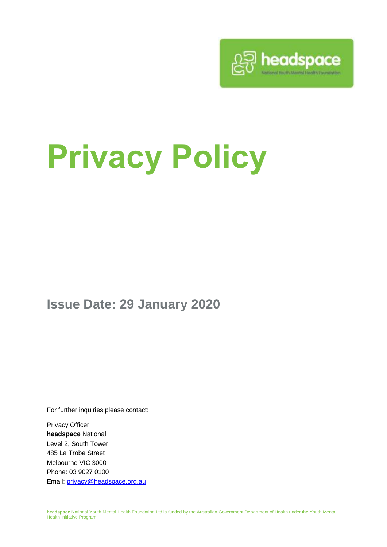

# **Privacy Policy**

**Issue Date: 29 January 2020**

For further inquiries please contact:

Privacy Officer **headspace** National Level 2, South Tower 485 La Trobe Street Melbourne VIC 3000 Phone: 03 9027 0100 Email: [privacy@headspace.org.au](mailto:privacy@headspace.org.au)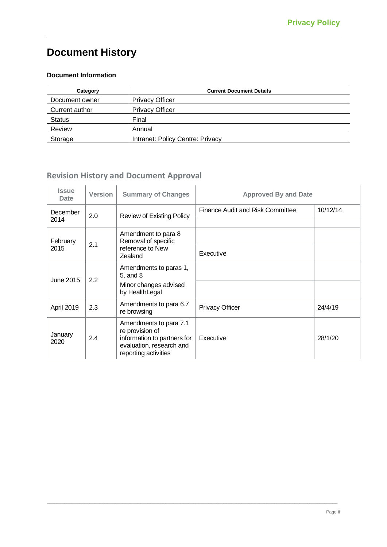### **Document History**

#### **Document Information**

<span id="page-1-1"></span><span id="page-1-0"></span>

| Category       | <b>Current Document Details</b>  |  |
|----------------|----------------------------------|--|
| Document owner | <b>Privacy Officer</b>           |  |
| Current author | <b>Privacy Officer</b>           |  |
| <b>Status</b>  | Final                            |  |
| Review         | Annual                           |  |
| Storage        | Intranet: Policy Centre: Privacy |  |

#### **Revision History and Document Approval**

| <b>Issue</b><br>Date | <b>Version</b> | <b>Summary of Changes</b>                                                                                                    | <b>Approved By and Date</b>      |          |
|----------------------|----------------|------------------------------------------------------------------------------------------------------------------------------|----------------------------------|----------|
| December<br>2014     | 2.0            | <b>Review of Existing Policy</b>                                                                                             | Finance Audit and Risk Committee | 10/12/14 |
| February<br>2015     | 2.1            | Amendment to para 8<br>Removal of specific<br>reference to New<br>Zealand                                                    |                                  |          |
|                      |                |                                                                                                                              | Executive                        |          |
| June 2015            | 2.2            | Amendments to paras 1,<br>$5$ , and $8$                                                                                      |                                  |          |
|                      |                | Minor changes advised<br>by HealthLegal                                                                                      |                                  |          |
| April 2019           | 2.3            | Amendments to para 6.7<br>re browsing                                                                                        | <b>Privacy Officer</b>           | 24/4/19  |
| January<br>2020      | 2.4            | Amendments to para 7.1<br>re provision of<br>information to partners for<br>evaluation, research and<br>reporting activities | Executive                        | 28/1/20  |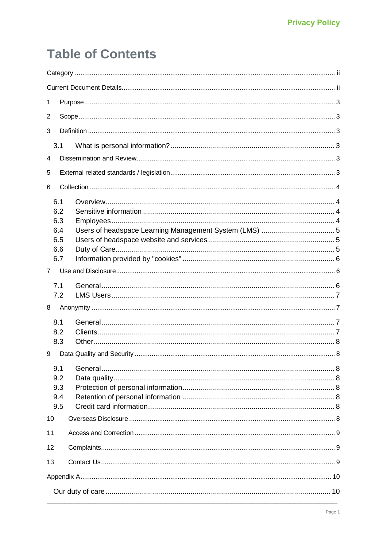# **Table of Contents**

| 1              |  |  |  |  |  |
|----------------|--|--|--|--|--|
| 2              |  |  |  |  |  |
| 3              |  |  |  |  |  |
| 3.1            |  |  |  |  |  |
| 4              |  |  |  |  |  |
| 5              |  |  |  |  |  |
| 6              |  |  |  |  |  |
| 6.1            |  |  |  |  |  |
| 6.2            |  |  |  |  |  |
| 6.3            |  |  |  |  |  |
| 6.4            |  |  |  |  |  |
| 6.5            |  |  |  |  |  |
| 6.6            |  |  |  |  |  |
| 6.7            |  |  |  |  |  |
| $\overline{7}$ |  |  |  |  |  |
|                |  |  |  |  |  |
| 7.1            |  |  |  |  |  |
| 7.2            |  |  |  |  |  |
| 8              |  |  |  |  |  |
| 8.1            |  |  |  |  |  |
| 8.2            |  |  |  |  |  |
| 8.3            |  |  |  |  |  |
| 9              |  |  |  |  |  |
| 9.1            |  |  |  |  |  |
| 9.2            |  |  |  |  |  |
| 9.3            |  |  |  |  |  |
| 9.4            |  |  |  |  |  |
| 9.5            |  |  |  |  |  |
| 10             |  |  |  |  |  |
| 11             |  |  |  |  |  |
| 12             |  |  |  |  |  |
| 13             |  |  |  |  |  |
|                |  |  |  |  |  |
|                |  |  |  |  |  |
|                |  |  |  |  |  |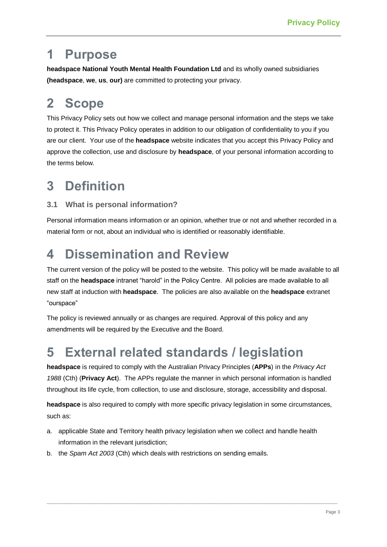### <span id="page-4-0"></span>**1 Purpose**

**headspace National Youth Mental Health Foundation Ltd** and its wholly owned subsidiaries **(headspace**, **we**, **us**, **our)** are committed to protecting your privacy.

# <span id="page-4-1"></span>**2 Scope**

This Privacy Policy sets out how we collect and manage personal information and the steps we take to protect it. This Privacy Policy operates in addition to our obligation of confidentiality to you if you are our client. Your use of the **headspace** website indicates that you accept this Privacy Policy and approve the collection, use and disclosure by **headspace**, of your personal information according to the terms below.

# <span id="page-4-2"></span>**3 Definition**

#### <span id="page-4-3"></span>**3.1 What is personal information?**

Personal information means information or an opinion, whether true or not and whether recorded in a material form or not, about an individual who is identified or reasonably identifiable.

# <span id="page-4-4"></span>**4 Dissemination and Review**

The current version of the policy will be posted to the website. This policy will be made available to all staff on the **headspace** intranet "harold" in the Policy Centre. All policies are made available to all new staff at induction with **headspace**. The policies are also available on the **headspace** extranet "ourspace"

The policy is reviewed annually or as changes are required. Approval of this policy and any amendments will be required by the Executive and the Board.

### <span id="page-4-5"></span>**5 External related standards / legislation**

**headspace** is required to comply with the Australian Privacy Principles (**APPs**) in the *Privacy Act 1988* (Cth) (**Privacy Act**). The APPs regulate the manner in which personal information is handled throughout its life cycle, from collection, to use and disclosure, storage, accessibility and disposal.

**headspace** is also required to comply with more specific privacy legislation in some circumstances, such as:

- a. applicable State and Territory health privacy legislation when we collect and handle health information in the relevant jurisdiction;
- b. the *Spam Act 2003* (Cth) which deals with restrictions on sending emails.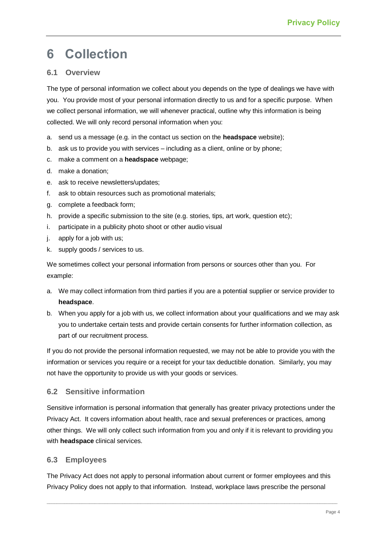# <span id="page-5-0"></span>**6 Collection**

#### <span id="page-5-1"></span>**6.1 Overview**

The type of personal information we collect about you depends on the type of dealings we have with you. You provide most of your personal information directly to us and for a specific purpose. When we collect personal information, we will whenever practical, outline why this information is being collected. We will only record personal information when you:

- a. send us a message (e.g. in the contact us section on the **headspace** website);
- b. ask us to provide you with services including as a client, online or by phone;
- c. make a comment on a **headspace** webpage;
- d. make a donation;
- e. ask to receive newsletters/updates;
- f. ask to obtain resources such as promotional materials;
- g. complete a feedback form;
- h. provide a specific submission to the site (e.g. stories, tips, art work, question etc);
- i. participate in a publicity photo shoot or other audio visual
- j. apply for a job with us;
- k. supply goods / services to us.

We sometimes collect your personal information from persons or sources other than you. For example:

- a. We may collect information from third parties if you are a potential supplier or service provider to **headspace**.
- b. When you apply for a job with us, we collect information about your qualifications and we may ask you to undertake certain tests and provide certain consents for further information collection, as part of our recruitment process.

If you do not provide the personal information requested, we may not be able to provide you with the information or services you require or a receipt for your tax deductible donation. Similarly, you may not have the opportunity to provide us with your goods or services.

#### <span id="page-5-2"></span>**6.2 Sensitive information**

Sensitive information is personal information that generally has greater privacy protections under the Privacy Act. It covers information about health, race and sexual preferences or practices, among other things. We will only collect such information from you and only if it is relevant to providing you with **headspace** clinical services.

#### <span id="page-5-3"></span>**6.3 Employees**

The Privacy Act does not apply to personal information about current or former employees and this Privacy Policy does not apply to that information. Instead, workplace laws prescribe the personal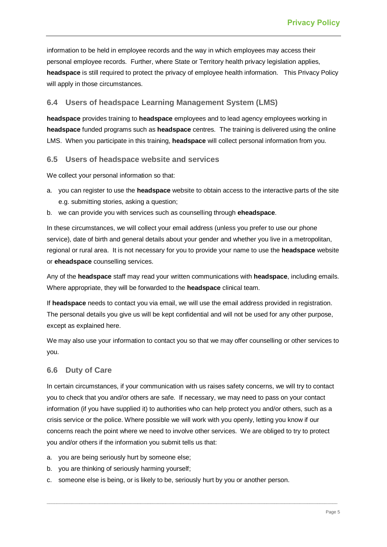information to be held in employee records and the way in which employees may access their personal employee records. Further, where State or Territory health privacy legislation applies, **headspace** is still required to protect the privacy of employee health information. This Privacy Policy will apply in those circumstances.

#### <span id="page-6-0"></span>**6.4 Users of headspace Learning Management System (LMS)**

**headspace** provides training to **headspace** employees and to lead agency employees working in **headspace** funded programs such as **headspace** centres. The training is delivered using the online LMS. When you participate in this training, **headspace** will collect personal information from you.

#### <span id="page-6-1"></span>**6.5 Users of headspace website and services**

We collect your personal information so that:

- a. you can register to use the **headspace** website to obtain access to the interactive parts of the site e.g. submitting stories, asking a question;
- b. we can provide you with services such as counselling through **eheadspace**.

In these circumstances, we will collect your email address (unless you prefer to use our phone service), date of birth and general details about your gender and whether you live in a metropolitan, regional or rural area. It is not necessary for you to provide your name to use the **headspace** website or **eheadspace** counselling services.

Any of the **headspace** staff may read your written communications with **headspace**, including emails. Where appropriate, they will be forwarded to the **headspace** clinical team.

If **headspace** needs to contact you via email, we will use the email address provided in registration. The personal details you give us will be kept confidential and will not be used for any other purpose, except as explained here.

We may also use your information to contact you so that we may offer counselling or other services to you.

#### <span id="page-6-2"></span>**6.6 Duty of Care**

In certain circumstances, if your communication with us raises safety concerns, we will try to contact you to check that you and/or others are safe. If necessary, we may need to pass on your contact information (if you have supplied it) to authorities who can help protect you and/or others, such as a crisis service or the police. Where possible we will work with you openly, letting you know if our concerns reach the point where we need to involve other services. We are obliged to try to protect you and/or others if the information you submit tells us that:

- a. you are being seriously hurt by someone else;
- b. you are thinking of seriously harming yourself;
- c. someone else is being, or is likely to be, seriously hurt by you or another person.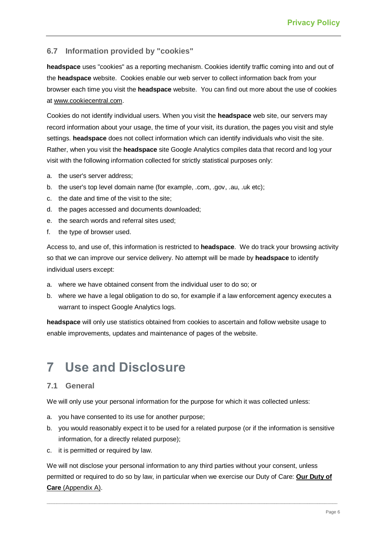#### <span id="page-7-0"></span>**6.7 Information provided by "cookies"**

**headspace** uses "cookies" as a reporting mechanism. Cookies identify traffic coming into and out of the **headspace** website. Cookies enable our web server to collect information back from your browser each time you visit the **headspace** website. You can find out more about the use of cookies at [www.cookiecentral.com.](http://www.cookiecentral.com/)

Cookies do not identify individual users. When you visit the **headspace** web site, our servers may record information about your usage, the time of your visit, its duration, the pages you visit and style settings. **headspace** does not collect information which can identify individuals who visit the site. Rather, when you visit the **headspace** site Google Analytics compiles data that record and log your visit with the following information collected for strictly statistical purposes only:

- a. the user's server address;
- b. the user's top level domain name (for example, .com, .gov, .au, .uk etc);
- c. the date and time of the visit to the site;
- d. the pages accessed and documents downloaded;
- e. the search words and referral sites used;
- f. the type of browser used.

Access to, and use of, this information is restricted to **headspace**. We do track your browsing activity so that we can improve our service delivery. No attempt will be made by **headspace** to identify individual users except:

- a. where we have obtained consent from the individual user to do so; or
- b. where we have a legal obligation to do so, for example if a law enforcement agency executes a warrant to inspect Google Analytics logs.

**headspace** will only use statistics obtained from cookies to ascertain and follow website usage to enable improvements, updates and maintenance of pages of the website.

### <span id="page-7-1"></span>**7 Use and Disclosure**

#### <span id="page-7-2"></span>**7.1 General**

We will only use your personal information for the purpose for which it was collected unless:

- a. you have consented to its use for another purpose;
- b. you would reasonably expect it to be used for a related purpose (or if the information is sensitive information, for a directly related purpose);
- c. it is permitted or required by law.

We will not disclose your personal information to any third parties without your consent, unless permitted or required to do so by law, in particular when we exercise our Duty of Care: **[Our Duty of](https://intranet.headspace.org.au/duty-of-care)  [Care](https://intranet.headspace.org.au/duty-of-care)** (Appendix A).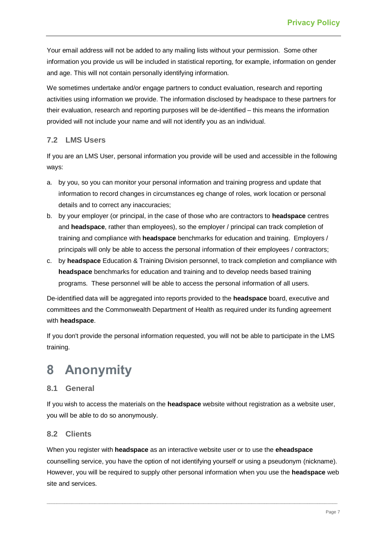Your email address will not be added to any mailing lists without your permission. Some other information you provide us will be included in statistical reporting, for example, information on gender and age. This will not contain personally identifying information.

We sometimes undertake and/or engage partners to conduct evaluation, research and reporting activities using information we provide. The information disclosed by headspace to these partners for their evaluation, research and reporting purposes will be de-identified – this means the information provided will not include your name and will not identify you as an individual.

#### <span id="page-8-0"></span>**7.2 LMS Users**

If you are an LMS User, personal information you provide will be used and accessible in the following ways:

- a. by you, so you can monitor your personal information and training progress and update that information to record changes in circumstances eg change of roles, work location or personal details and to correct any inaccuracies;
- b. by your employer (or principal, in the case of those who are contractors to **headspace** centres and **headspace**, rather than employees), so the employer / principal can track completion of training and compliance with **headspace** benchmarks for education and training. Employers / principals will only be able to access the personal information of their employees / contractors;
- c. by **headspace** Education & Training Division personnel, to track completion and compliance with **headspace** benchmarks for education and training and to develop needs based training programs. These personnel will be able to access the personal information of all users.

De-identified data will be aggregated into reports provided to the **headspace** board, executive and committees and the Commonwealth Department of Health as required under its funding agreement with **headspace**.

If you don't provide the personal information requested, you will not be able to participate in the LMS training.

### <span id="page-8-1"></span>**8 Anonymity**

#### <span id="page-8-2"></span>**8.1 General**

If you wish to access the materials on the **headspace** website without registration as a website user, you will be able to do so anonymously.

#### <span id="page-8-3"></span>**8.2 Clients**

When you register with **headspace** as an interactive website user or to use the **eheadspace**  counselling service, you have the option of not identifying yourself or using a pseudonym (nickname). However, you will be required to supply other personal information when you use the **headspace** web site and services.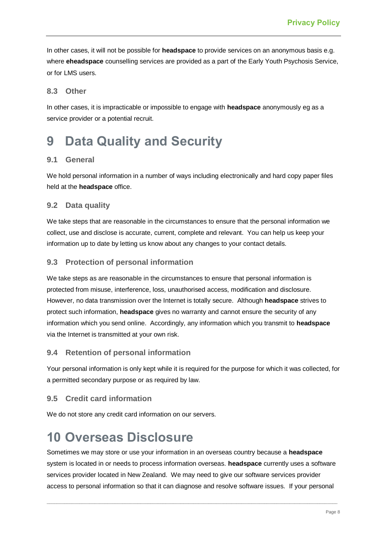In other cases, it will not be possible for **headspace** to provide services on an anonymous basis e.g. where **eheadspace** counselling services are provided as a part of the Early Youth Psychosis Service, or for LMS users.

#### <span id="page-9-0"></span>**8.3 Other**

In other cases, it is impracticable or impossible to engage with **headspace** anonymously eg as a service provider or a potential recruit.

### <span id="page-9-1"></span>**9 Data Quality and Security**

#### <span id="page-9-2"></span>**9.1 General**

We hold personal information in a number of ways including electronically and hard copy paper files held at the **headspace** office.

#### <span id="page-9-3"></span>**9.2 Data quality**

We take steps that are reasonable in the circumstances to ensure that the personal information we collect, use and disclose is accurate, current, complete and relevant. You can help us keep your information up to date by letting us know about any changes to your contact details.

#### <span id="page-9-4"></span>**9.3 Protection of personal information**

We take steps as are reasonable in the circumstances to ensure that personal information is protected from misuse, interference, loss, unauthorised access, modification and disclosure. However, no data transmission over the Internet is totally secure. Although **headspace** strives to protect such information, **headspace** gives no warranty and cannot ensure the security of any information which you send online. Accordingly, any information which you transmit to **headspace** via the Internet is transmitted at your own risk.

#### <span id="page-9-5"></span>**9.4 Retention of personal information**

Your personal information is only kept while it is required for the purpose for which it was collected, for a permitted secondary purpose or as required by law.

#### <span id="page-9-6"></span>**9.5 Credit card information**

We do not store any credit card information on our servers.

### <span id="page-9-7"></span>**10 Overseas Disclosure**

Sometimes we may store or use your information in an overseas country because a **headspace** system is located in or needs to process information overseas. **headspace** currently uses a software services provider located in New Zealand. We may need to give our software services provider access to personal information so that it can diagnose and resolve software issues. If your personal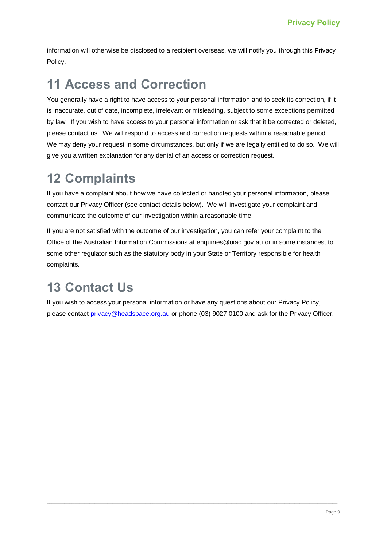information will otherwise be disclosed to a recipient overseas, we will notify you through this Privacy Policy.

### <span id="page-10-0"></span>**11 Access and Correction**

You generally have a right to have access to your personal information and to seek its correction, if it is inaccurate, out of date, incomplete, irrelevant or misleading, subject to some exceptions permitted by law. If you wish to have access to your personal information or ask that it be corrected or deleted, please contact us. We will respond to access and correction requests within a reasonable period. We may deny your request in some circumstances, but only if we are legally entitled to do so. We will give you a written explanation for any denial of an access or correction request.

## <span id="page-10-1"></span>**12 Complaints**

If you have a complaint about how we have collected or handled your personal information, please contact our Privacy Officer (see contact details below). We will investigate your complaint and communicate the outcome of our investigation within a reasonable time.

If you are not satisfied with the outcome of our investigation, you can refer your complaint to the Office of the Australian Information Commissions at enquiries@oiac.gov.au or in some instances, to some other regulator such as the statutory body in your State or Territory responsible for health complaints.

# <span id="page-10-2"></span>**13 Contact Us**

If you wish to access your personal information or have any questions about our Privacy Policy, please contact [privacy@headspace.org.au](mailto:privacy@headspace.org.au) or phone (03) 9027 0100 and ask for the Privacy Officer.